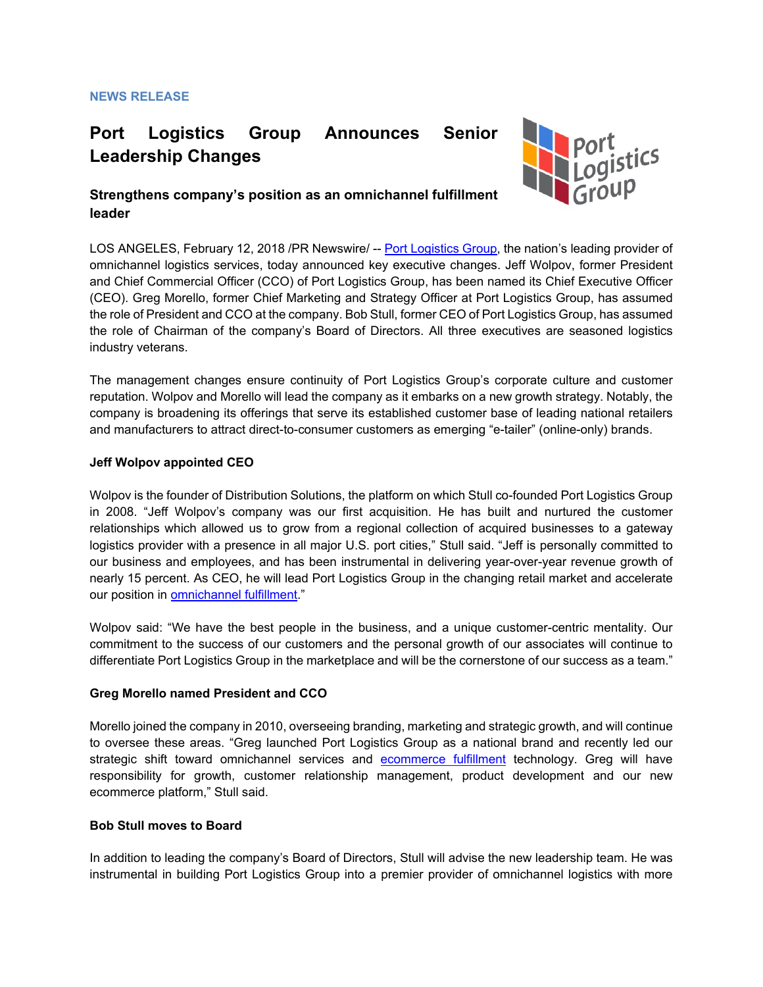# **Port Logistics Group Announces Senior Leadership Changes**



# **Strengthens company's position as an omnichannel fulfillment leader**

LOS ANGELES, February 12, 2018 /PR Newswire/ -- [Port Logistics Group,](https://www.portlogisticsgroup.com/) the nation's leading provider of omnichannel logistics services, today announced key executive changes. Jeff Wolpov, former President and Chief Commercial Officer (CCO) of Port Logistics Group, has been named its Chief Executive Officer (CEO). Greg Morello, former Chief Marketing and Strategy Officer at Port Logistics Group, has assumed the role of President and CCO at the company. Bob Stull, former CEO of Port Logistics Group, has assumed the role of Chairman of the company's Board of Directors. All three executives are seasoned logistics industry veterans.

The management changes ensure continuity of Port Logistics Group's corporate culture and customer reputation. Wolpov and Morello will lead the company as it embarks on a new growth strategy. Notably, the company is broadening its offerings that serve its established customer base of leading national retailers and manufacturers to attract direct-to-consumer customers as emerging "e-tailer" (online-only) brands.

## **Jeff Wolpov appointed CEO**

Wolpov is the founder of Distribution Solutions, the platform on which Stull co-founded Port Logistics Group in 2008. "Jeff Wolpov's company was our first acquisition. He has built and nurtured the customer relationships which allowed us to grow from a regional collection of acquired businesses to a gateway logistics provider with a presence in all major U.S. port cities," Stull said. "Jeff is personally committed to our business and employees, and has been instrumental in delivering year-over-year revenue growth of nearly 15 percent. As CEO, he will lead Port Logistics Group in the changing retail market and accelerate our position in [omnichannel fulfillment.](https://www.portlogisticsgroup.com/solutions-overview/)"

Wolpov said: "We have the best people in the business, and a unique customer-centric mentality. Our commitment to the success of our customers and the personal growth of our associates will continue to differentiate Port Logistics Group in the marketplace and will be the cornerstone of our success as a team."

#### **Greg Morello named President and CCO**

Morello joined the company in 2010, overseeing branding, marketing and strategic growth, and will continue to oversee these areas. "Greg launched Port Logistics Group as a national brand and recently led our strategic shift toward omnichannel services and [ecommerce fulfillment](https://www.portlogisticsgroup.com/solution/ecommerce-fulfillment/) technology. Greg will have responsibility for growth, customer relationship management, product development and our new ecommerce platform," Stull said.

#### **Bob Stull moves to Board**

In addition to leading the company's Board of Directors, Stull will advise the new leadership team. He was instrumental in building Port Logistics Group into a premier provider of omnichannel logistics with more